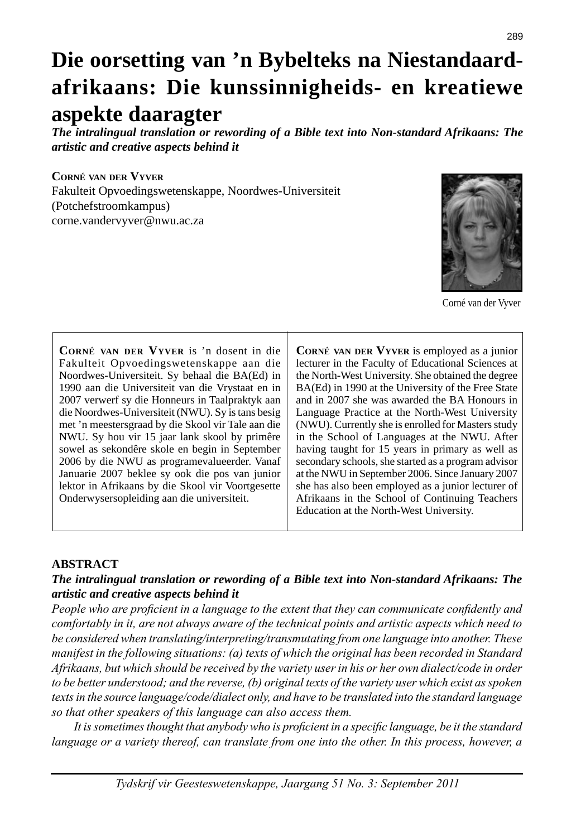# **Die oorsetting van 'n Bybelteks na Niestandaardafrikaans: Die kunssinnigheids- en kreatiewe aspekte daaragter**

*The intralingual translation or rewording of a Bible text into Non-standard Afrikaans: The artistic and creative aspects behind it*

**CORNÉ VAN DER VYVER** Fakulteit Opvoedingswetenskappe, Noordwes-Universiteit (Potchefstroomkampus) corne.vandervyver@nwu.ac.za



Corné van der Vyver

**CORNÉ VAN DER VYVER** is 'n dosent in die Fakulteit Opvoedingswetenskappe aan die Noordwes-Universiteit. Sy behaal die BA(Ed) in 1990 aan die Universiteit van die Vrystaat en in 2007 verwerf sy die Honneurs in Taalpraktyk aan die Noordwes-Universiteit (NWU). Sy is tans besig met 'n meestersgraad by die Skool vir Tale aan die NWU. Sy hou vir 15 jaar lank skool by primêre sowel as sekondêre skole en begin in September 2006 by die NWU as programevalueerder. Vanaf Januarie 2007 beklee sy ook die pos van junior lektor in Afrikaans by die Skool vir Voortgesette Onderwysersopleiding aan die universiteit.

**CORNÉ VAN DER VYVER** is employed as a junior lecturer in the Faculty of Educational Sciences at the North-West University. She obtained the degree BA(Ed) in 1990 at the University of the Free State and in 2007 she was awarded the BA Honours in Language Practice at the North-West University (NWU). Currently she is enrolled for Masters study in the School of Languages at the NWU. After having taught for 15 years in primary as well as secondary schools, she started as a program advisor at the NWU in September 2006. Since January 2007 she has also been employed as a junior lecturer of Afrikaans in the School of Continuing Teachers Education at the North-West University.

## **ABSTRACT**

### *The intralingual translation or rewording of a Bible text into Non-standard Afrikaans: The artistic and creative aspects behind it*

*People who are proficient in a language to the extent that they can communicate confidently and comfortably in it, are not always aware of the technical points and artistic aspects which need to be considered when translating/interpreting/transmutating from one language into another. These manifest in the following situations: (a) texts of which the original has been recorded in Standard Afrikaans, but which should be received by the variety user in his or her own dialect/code in order to be better understood; and the reverse, (b) original texts of the variety user which exist as spoken texts in the source language/code/dialect only, and have to be translated into the standard language so that other speakers of this language can also access them.*

It is sometimes thought that anybody who is proficient in a specific language, be it the standard *language or a variety thereof, can translate from one into the other. In this process, however, a*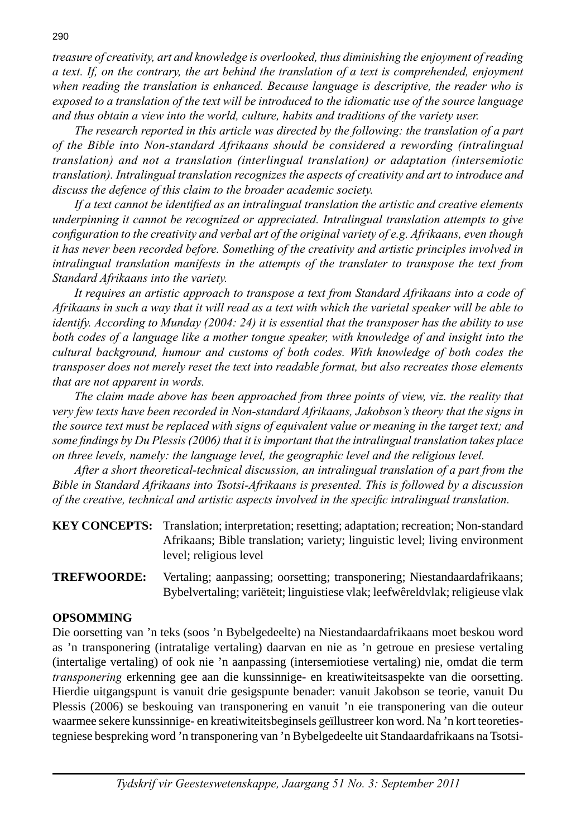*treasure of creativity, art and knowledge is overlooked, thus diminishing the enjoyment of reading a text. If, on the contrary, the art behind the translation of a text is comprehended, enjoyment when reading the translation is enhanced. Because language is descriptive, the reader who is exposed to a translation of the text will be introduced to the idiomatic use of the source language and thus obtain a view into the world, culture, habits and traditions of the variety user.*

 *The research reported in this article was directed by the following: the translation of a part of the Bible into Non-standard Afrikaans should be considered a rewording (intralingual translation) and not a translation (interlingual translation) or adaptation (intersemiotic translation). Intralingual translation recognizes the aspects of creativity and art to introduce and discuss the defence of this claim to the broader academic society.*

If a text cannot be identified as an intralingual translation the artistic and creative elements *underpinning it cannot be recognized or appreciated. Intralingual translation attempts to give configuration to the creativity and verbal art of the original variety of e.g. Afrikaans, even though it has never been recorded before. Something of the creativity and artistic principles involved in intralingual translation manifests in the attempts of the translater to transpose the text from Standard Afrikaans into the variety.*

 *It requires an artistic approach to transpose a text from Standard Afrikaans into a code of Afrikaans in such a way that it will read as a text with which the varietal speaker will be able to identify. According to Munday (2004: 24) it is essential that the transposer has the ability to use both codes of a language like a mother tongue speaker, with knowledge of and insight into the cultural background, humour and customs of both codes. With knowledge of both codes the transposer does not merely reset the text into readable format, but also recreates those elements that are not apparent in words.*

 *The claim made above has been approached from three points of view, viz. the reality that very few texts have been recorded in Non-standard Afrikaans, Jakobson's theory that the signs in the source text must be replaced with signs of equivalent value or meaning in the target text; and some fi ndings by Du Plessis (2006) that it is important that the intralingual translation takes place on three levels, namely: the language level, the geographic level and the religious level.* 

 *After a short theoretical-technical discussion, an intralingual translation of a part from the Bible in Standard Afrikaans into Tsotsi-Afrikaans is presented. This is followed by a discussion of the creative, technical and artistic aspects involved in the specific intralingual translation.* 

| <b>KEY CONCEPTS:</b> Translation; interpretation; resetting; adaptation; recreation; Non-standard |  |
|---------------------------------------------------------------------------------------------------|--|
| Afrikaans; Bible translation; variety; linguistic level; living environment                       |  |
| level; religious level                                                                            |  |

**TREFWOORDE:** Vertaling; aanpassing; oorsetting; transponering; Niestandaardafrikaans; Bybelvertaling; variëteit; linguistiese vlak; leefwêreldvlak; religieuse vlak

## **OPSOMMING**

Die oorsetting van 'n teks (soos 'n Bybelgedeelte) na Niestandaardafrikaans moet beskou word as 'n transponering (intratalige vertaling) daarvan en nie as 'n getroue en presiese vertaling (intertalige vertaling) of ook nie 'n aanpassing (intersemiotiese vertaling) nie, omdat die term *transponering* erkenning gee aan die kunssinnige- en kreatiwiteitsaspekte van die oorsetting. Hierdie uitgangspunt is vanuit drie gesigspunte benader: vanuit Jakobson se teorie, vanuit Du Plessis (2006) se beskouing van transponering en vanuit 'n eie transponering van die outeur waarmee sekere kunssinnige- en kreatiwiteitsbeginsels geïllustreer kon word. Na 'n kort teoretiestegniese bespreking word 'n transponering van 'n Bybelgedeelte uit Standaardafrikaans na Tsotsi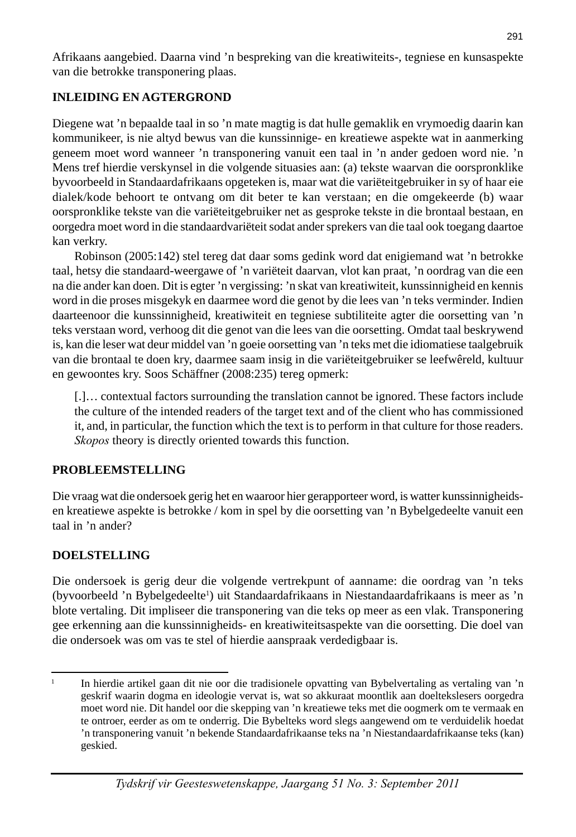Afrikaans aangebied. Daarna vind 'n bespreking van die kreatiwiteits-, tegniese en kunsaspekte van die betrokke transponering plaas.

# **INLEIDING EN AGTERGROND**

Diegene wat 'n bepaalde taal in so 'n mate magtig is dat hulle gemaklik en vrymoedig daarin kan kommunikeer, is nie altyd bewus van die kunssinnige- en kreatiewe aspekte wat in aanmerking geneem moet word wanneer 'n transponering vanuit een taal in 'n ander gedoen word nie. 'n Mens tref hierdie verskynsel in die volgende situasies aan: (a) tekste waarvan die oorspronklike byvoorbeeld in Standaardafrikaans opgeteken is, maar wat die variëteitgebruiker in sy of haar eie dialek/kode behoort te ontvang om dit beter te kan verstaan; en die omgekeerde (b) waar oorspronklike tekste van die variëteitgebruiker net as gesproke tekste in die brontaal bestaan, en oorgedra moet word in die standaardvariëteit sodat ander sprekers van die taal ook toegang daartoe kan verkry.

 Robinson (2005:142) stel tereg dat daar soms gedink word dat enigiemand wat 'n betrokke taal, hetsy die standaard-weergawe of 'n variëteit daarvan, vlot kan praat, 'n oordrag van die een na die ander kan doen. Dit is egter 'n vergissing: 'n skat van kreatiwiteit, kunssinnigheid en kennis word in die proses misgekyk en daarmee word die genot by die lees van 'n teks verminder. Indien daarteenoor die kunssinnigheid, kreatiwiteit en tegniese subtiliteite agter die oorsetting van 'n teks verstaan word, verhoog dit die genot van die lees van die oorsetting. Omdat taal beskrywend is, kan die leser wat deur middel van 'n goeie oorsetting van 'n teks met die idiomatiese taalgebruik van die brontaal te doen kry, daarmee saam insig in die variëteitgebruiker se leefwêreld, kultuur en gewoontes kry. Soos Schäffner (2008:235) tereg opmerk:

 [.]… contextual factors surrounding the translation cannot be ignored. These factors include the culture of the intended readers of the target text and of the client who has commissioned it, and, in particular, the function which the text is to perform in that culture for those readers. *Skopos* theory is directly oriented towards this function.

# **PROBLEEMSTELLING**

Die vraag wat die ondersoek gerig het en waaroor hier gerapporteer word, is watter kunssinnigheidsen kreatiewe aspekte is betrokke / kom in spel by die oorsetting van 'n Bybelgedeelte vanuit een taal in 'n ander?

# **DOELSTELLING**

Die ondersoek is gerig deur die volgende vertrekpunt of aanname: die oordrag van 'n teks (byvoorbeeld 'n Bybelgedeelte<sup>1</sup>) uit Standaardafrikaans in Niestandaardafrikaans is meer as 'n blote vertaling. Dit impliseer die transponering van die teks op meer as een vlak. Transponering gee erkenning aan die kunssinnigheids- en kreatiwiteitsaspekte van die oorsetting. Die doel van die ondersoek was om vas te stel of hierdie aanspraak verdedigbaar is.

<sup>1</sup> In hierdie artikel gaan dit nie oor die tradisionele opvatting van Bybelvertaling as vertaling van 'n geskrif waarin dogma en ideologie vervat is, wat so akkuraat moontlik aan doeltekslesers oorgedra moet word nie. Dit handel oor die skepping van 'n kreatiewe teks met die oogmerk om te vermaak en te ontroer, eerder as om te onderrig. Die Bybelteks word slegs aangewend om te verduidelik hoedat 'n transponering vanuit 'n bekende Standaardafrikaanse teks na 'n Niestandaardafrikaanse teks (kan) geskied.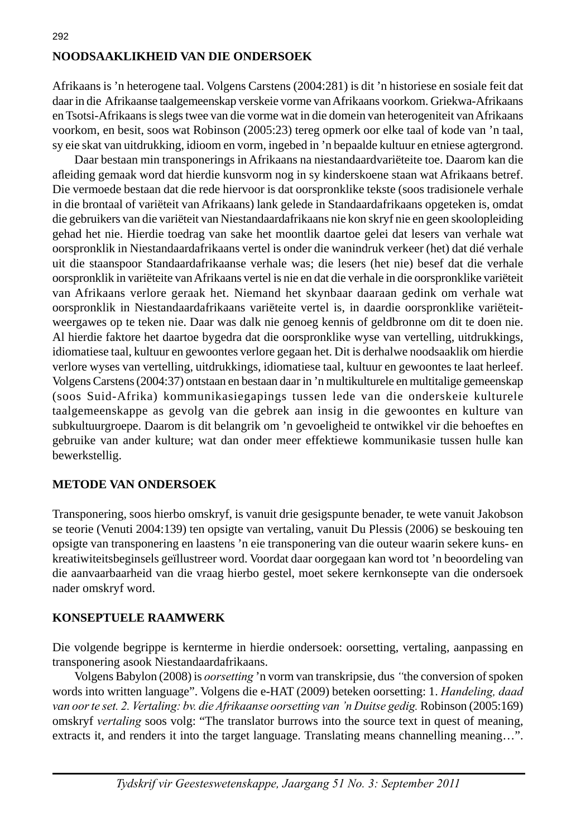# **NOODSAAKLIKHEID VAN DIE ONDERSOEK**

Afrikaans is 'n heterogene taal. Volgens Carstens (2004:281) is dit 'n historiese en sosiale feit dat daar in die Afrikaanse taalgemeenskap verskeie vorme van Afrikaans voorkom. Griekwa-Afrikaans en Tsotsi-Afrikaans is slegs twee van die vorme wat in die domein van heterogeniteit van Afrikaans voorkom, en besit, soos wat Robinson (2005:23) tereg opmerk oor elke taal of kode van 'n taal, sy eie skat van uitdrukking, idioom en vorm, ingebed in 'n bepaalde kultuur en etniese agtergrond.

 Daar bestaan min transponerings in Afrikaans na niestandaardvariëteite toe. Daarom kan die afl eiding gemaak word dat hierdie kunsvorm nog in sy kinderskoene staan wat Afrikaans betref. Die vermoede bestaan dat die rede hiervoor is dat oorspronklike tekste (soos tradisionele verhale in die brontaal of variëteit van Afrikaans) lank gelede in Standaardafrikaans opgeteken is, omdat die gebruikers van die variëteit van Niestandaardafrikaans nie kon skryf nie en geen skoolopleiding gehad het nie. Hierdie toedrag van sake het moontlik daartoe gelei dat lesers van verhale wat oorspronklik in Niestandaardafrikaans vertel is onder die wanindruk verkeer (het) dat dié verhale uit die staanspoor Standaardafrikaanse verhale was; die lesers (het nie) besef dat die verhale oorspronklik in variëteite van Afrikaans vertel is nie en dat die verhale in die oorspronklike variëteit van Afrikaans verlore geraak het. Niemand het skynbaar daaraan gedink om verhale wat oorspronklik in Niestandaardafrikaans variëteite vertel is, in daardie oorspronklike variëteitweergawes op te teken nie. Daar was dalk nie genoeg kennis of geldbronne om dit te doen nie. Al hierdie faktore het daartoe bygedra dat die oorspronklike wyse van vertelling, uitdrukkings, idiomatiese taal, kultuur en gewoontes verlore gegaan het. Dit is derhalwe noodsaaklik om hierdie verlore wyses van vertelling, uitdrukkings, idiomatiese taal, kultuur en gewoontes te laat herleef. Volgens Carstens (2004:37) ontstaan en bestaan daar in 'n multikulturele en multitalige gemeenskap (soos Suid-Afrika) kommunikasiegapings tussen lede van die onderskeie kulturele taalgemeenskappe as gevolg van die gebrek aan insig in die gewoontes en kulture van subkultuurgroepe. Daarom is dit belangrik om 'n gevoeligheid te ontwikkel vir die behoeftes en gebruike van ander kulture; wat dan onder meer effektiewe kommunikasie tussen hulle kan bewerkstellig.

#### **METODE VAN ONDERSOEK**

Transponering, soos hierbo omskryf, is vanuit drie gesigspunte benader, te wete vanuit Jakobson se teorie (Venuti 2004:139) ten opsigte van vertaling, vanuit Du Plessis (2006) se beskouing ten opsigte van transponering en laastens 'n eie transponering van die outeur waarin sekere kuns- en kreatiwiteitsbeginsels geïllustreer word. Voordat daar oorgegaan kan word tot 'n beoordeling van die aanvaarbaarheid van die vraag hierbo gestel, moet sekere kernkonsepte van die ondersoek nader omskryf word.

#### **KONSEPTUELE RAAMWERK**

Die volgende begrippe is kernterme in hierdie ondersoek: oorsetting, vertaling, aanpassing en transponering asook Niestandaardafrikaans.

 Volgens Babylon (2008) is *oorsetting* 'n vorm van transkripsie, dus *"*the conversion of spoken words into written language". Volgens die e-HAT (2009) beteken oorsetting: 1. *Handeling, daad van oor te set. 2. Vertaling: bv. die Afrikaanse oorsetting van 'n Duitse gedig.* Robinson (2005:169) omskryf *vertaling* soos volg: "The translator burrows into the source text in quest of meaning, extracts it, and renders it into the target language. Translating means channelling meaning...".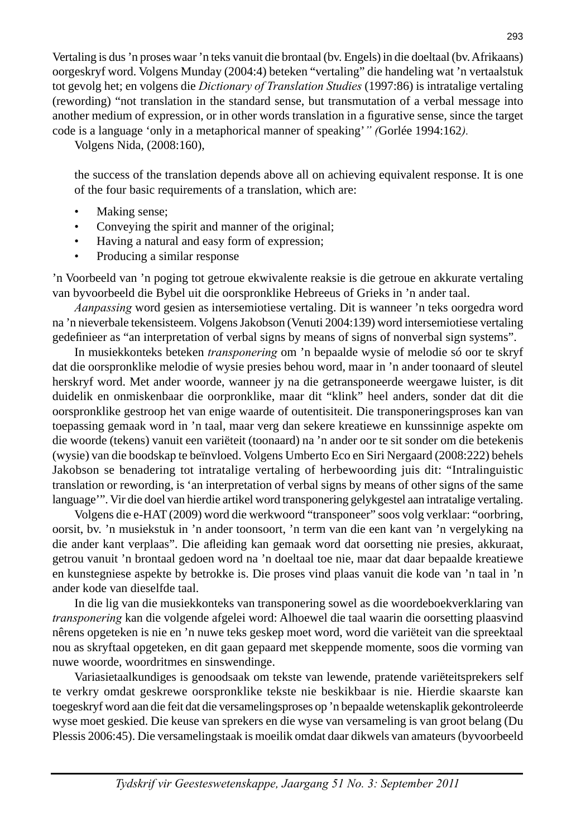Vertaling is dus 'n proses waar 'n teks vanuit die brontaal (bv. Engels) in die doeltaal (bv. Afrikaans) oorgeskryf word. Volgens Munday (2004:4) beteken "vertaling" die handeling wat 'n vertaalstuk tot gevolg het; en volgens die *Dictionary of Translation Studies* (1997:86) is intratalige vertaling (rewording) "not translation in the standard sense, but transmutation of a verbal message into another medium of expression, or in other words translation in a figurative sense, since the target code is a language 'only in a metaphorical manner of speaking'*" (*Gorlée 1994:162*).*

Volgens Nida, (2008:160),

 the success of the translation depends above all on achieving equivalent response. It is one of the four basic requirements of a translation, which are:

- Making sense;
- Conveying the spirit and manner of the original;
- Having a natural and easy form of expression;
- Producing a similar response

'n Voorbeeld van 'n poging tot getroue ekwivalente reaksie is die getroue en akkurate vertaling van byvoorbeeld die Bybel uit die oorspronklike Hebreeus of Grieks in 'n ander taal.

 *Aanpassing* word gesien as intersemiotiese vertaling. Dit is wanneer 'n teks oorgedra word na 'n nieverbale tekensisteem. Volgens Jakobson (Venuti 2004:139) word intersemiotiese vertaling gedefi nieer as "an interpretation of verbal signs by means of signs of nonverbal sign systems".

 In musiekkonteks beteken *transponering* om 'n bepaalde wysie of melodie só oor te skryf dat die oorspronklike melodie of wysie presies behou word, maar in 'n ander toonaard of sleutel herskryf word. Met ander woorde, wanneer jy na die getransponeerde weergawe luister, is dit duidelik en onmiskenbaar die oorpronklike, maar dit "klink" heel anders, sonder dat dit die oorspronklike gestroop het van enige waarde of outentisiteit. Die transponeringsproses kan van toepassing gemaak word in 'n taal, maar verg dan sekere kreatiewe en kunssinnige aspekte om die woorde (tekens) vanuit een variëteit (toonaard) na 'n ander oor te sit sonder om die betekenis (wysie) van die boodskap te beïnvloed. Volgens Umberto Eco en Siri Nergaard (2008:222) behels Jakobson se benadering tot intratalige vertaling of herbewoording juis dit: "Intralinguistic translation or rewording, is 'an interpretation of verbal signs by means of other signs of the same language'". Vir die doel van hierdie artikel word transponering gelykgestel aan intratalige vertaling.

 Volgens die e-HAT (2009) word die werkwoord "transponeer" soos volg verklaar: "oorbring, oorsit, bv. 'n musiekstuk in 'n ander toonsoort, 'n term van die een kant van 'n vergelyking na die ander kant verplaas". Die afleiding kan gemaak word dat oorsetting nie presies, akkuraat, getrou vanuit 'n brontaal gedoen word na 'n doeltaal toe nie, maar dat daar bepaalde kreatiewe en kunstegniese aspekte by betrokke is. Die proses vind plaas vanuit die kode van 'n taal in 'n ander kode van dieselfde taal.

 In die lig van die musiekkonteks van transponering sowel as die woordeboekverklaring van *transponering* kan die volgende afgelei word: Alhoewel die taal waarin die oorsetting plaasvind nêrens opgeteken is nie en 'n nuwe teks geskep moet word, word die variëteit van die spreektaal nou as skryftaal opgeteken, en dit gaan gepaard met skeppende momente, soos die vorming van nuwe woorde, woordritmes en sinswendinge.

 Variasietaalkundiges is genoodsaak om tekste van lewende, pratende variëteitsprekers self te verkry omdat geskrewe oorspronklike tekste nie beskikbaar is nie. Hierdie skaarste kan toegeskryf word aan die feit dat die versamelingsproses op 'n bepaalde wetenskaplik gekontroleerde wyse moet geskied. Die keuse van sprekers en die wyse van versameling is van groot belang (Du Plessis 2006:45). Die versamelingstaak is moeilik omdat daar dikwels van amateurs (byvoorbeeld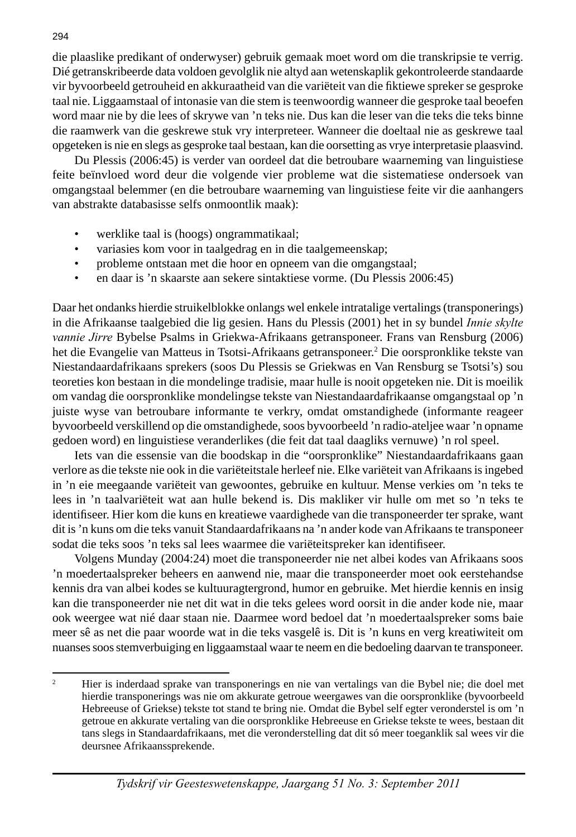die plaaslike predikant of onderwyser) gebruik gemaak moet word om die transkripsie te verrig. Dié getranskribeerde data voldoen gevolglik nie altyd aan wetenskaplik gekontroleerde standaarde vir byvoorbeeld getrouheid en akkuraatheid van die variëteit van die fiktiewe spreker se gesproke taal nie. Liggaamstaal of intonasie van die stem is teenwoordig wanneer die gesproke taal beoefen word maar nie by die lees of skrywe van 'n teks nie. Dus kan die leser van die teks die teks binne die raamwerk van die geskrewe stuk vry interpreteer. Wanneer die doeltaal nie as geskrewe taal opgeteken is nie en slegs as gesproke taal bestaan, kan die oorsetting as vrye interpretasie plaasvind.

 Du Plessis (2006:45) is verder van oordeel dat die betroubare waarneming van linguistiese feite beïnvloed word deur die volgende vier probleme wat die sistematiese ondersoek van omgangstaal belemmer (en die betroubare waarneming van linguistiese feite vir die aanhangers van abstrakte databasisse selfs onmoontlik maak):

- werklike taal is (hoogs) ongrammatikaal;
- variasies kom voor in taalgedrag en in die taalgemeenskap;
- probleme ontstaan met die hoor en opneem van die omgangstaal;
- en daar is 'n skaarste aan sekere sintaktiese vorme. (Du Plessis 2006:45)

Daar het ondanks hierdie struikelblokke onlangs wel enkele intratalige vertalings (transponerings) in die Afrikaanse taalgebied die lig gesien. Hans du Plessis (2001) het in sy bundel *Innie skylte vannie Jirre* Bybelse Psalms in Griekwa-Afrikaans getransponeer. Frans van Rensburg (2006) het die Evangelie van Matteus in Tsotsi-Afrikaans getransponeer.2 Die oorspronklike tekste van Niestandaardafrikaans sprekers (soos Du Plessis se Griekwas en Van Rensburg se Tsotsi's) sou teoreties kon bestaan in die mondelinge tradisie, maar hulle is nooit opgeteken nie. Dit is moeilik om vandag die oorspronklike mondelingse tekste van Niestandaardafrikaanse omgangstaal op 'n juiste wyse van betroubare informante te verkry, omdat omstandighede (informante reageer byvoorbeeld verskillend op die omstandighede, soos byvoorbeeld 'n radio-ateljee waar 'n opname gedoen word) en linguistiese veranderlikes (die feit dat taal daagliks vernuwe) 'n rol speel.

 Iets van die essensie van die boodskap in die "oorspronklike" Niestandaardafrikaans gaan verlore as die tekste nie ook in die variëteitstale herleef nie. Elke variëteit van Afrikaans is ingebed in 'n eie meegaande variëteit van gewoontes, gebruike en kultuur. Mense verkies om 'n teks te lees in 'n taalvariëteit wat aan hulle bekend is. Dis makliker vir hulle om met so 'n teks te identifiseer. Hier kom die kuns en kreatiewe vaardighede van die transponeerder ter sprake, want dit is 'n kuns om die teks vanuit Standaardafrikaans na 'n ander kode van Afrikaans te transponeer sodat die teks soos 'n teks sal lees waarmee die variëteitspreker kan identifiseer.

 Volgens Munday (2004:24) moet die transponeerder nie net albei kodes van Afrikaans soos 'n moedertaalspreker beheers en aanwend nie, maar die transponeerder moet ook eerstehandse kennis dra van albei kodes se kultuuragtergrond, humor en gebruike. Met hierdie kennis en insig kan die transponeerder nie net dit wat in die teks gelees word oorsit in die ander kode nie, maar ook weergee wat nié daar staan nie. Daarmee word bedoel dat 'n moedertaalspreker soms baie meer sê as net die paar woorde wat in die teks vasgelê is. Dit is 'n kuns en verg kreatiwiteit om nuanses soos stemverbuiging en liggaamstaal waar te neem en die bedoeling daarvan te transponeer.

 $\overline{2}$  Hier is inderdaad sprake van transponerings en nie van vertalings van die Bybel nie; die doel met hierdie transponerings was nie om akkurate getroue weergawes van die oorspronklike (byvoorbeeld Hebreeuse of Griekse) tekste tot stand te bring nie. Omdat die Bybel self egter veronderstel is om 'n getroue en akkurate vertaling van die oorspronklike Hebreeuse en Griekse tekste te wees, bestaan dit tans slegs in Standaardafrikaans, met die veronderstelling dat dit só meer toeganklik sal wees vir die deursnee Afrikaanssprekende.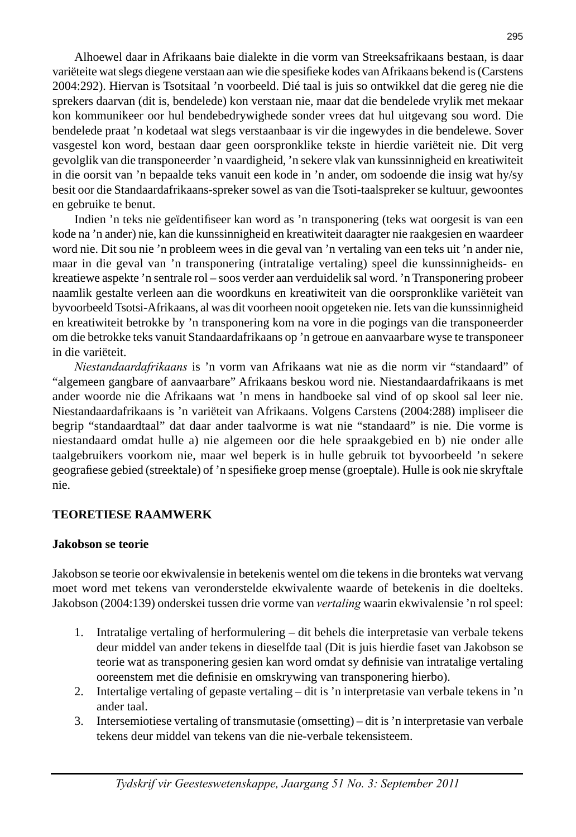Alhoewel daar in Afrikaans baie dialekte in die vorm van Streeksafrikaans bestaan, is daar variëteite wat slegs diegene verstaan aan wie die spesifieke kodes van Afrikaans bekend is (Carstens 2004:292). Hiervan is Tsotsitaal 'n voorbeeld. Dié taal is juis so ontwikkel dat die gereg nie die sprekers daarvan (dit is, bendelede) kon verstaan nie, maar dat die bendelede vrylik met mekaar kon kommunikeer oor hul bendebedrywighede sonder vrees dat hul uitgevang sou word. Die bendelede praat 'n kodetaal wat slegs verstaanbaar is vir die ingewydes in die bendelewe. Sover vasgestel kon word, bestaan daar geen oorspronklike tekste in hierdie variëteit nie. Dit verg gevolglik van die transponeerder 'n vaardigheid, 'n sekere vlak van kunssinnigheid en kreatiwiteit in die oorsit van 'n bepaalde teks vanuit een kode in 'n ander, om sodoende die insig wat hy/sy besit oor die Standaardafrikaans-spreker sowel as van die Tsoti-taalspreker se kultuur, gewoontes en gebruike te benut.

Indien 'n teks nie geïdentifiseer kan word as 'n transponering (teks wat oorgesit is van een kode na 'n ander) nie, kan die kunssinnigheid en kreatiwiteit daaragter nie raakgesien en waardeer word nie. Dit sou nie 'n probleem wees in die geval van 'n vertaling van een teks uit 'n ander nie, maar in die geval van 'n transponering (intratalige vertaling) speel die kunssinnigheids- en kreatiewe aspekte 'n sentrale rol – soos verder aan verduidelik sal word. 'n Transponering probeer naamlik gestalte verleen aan die woordkuns en kreatiwiteit van die oorspronklike variëteit van byvoorbeeld Tsotsi-Afrikaans, al was dit voorheen nooit opgeteken nie. Iets van die kunssinnigheid en kreatiwiteit betrokke by 'n transponering kom na vore in die pogings van die transponeerder om die betrokke teks vanuit Standaardafrikaans op 'n getroue en aanvaarbare wyse te transponeer in die variëteit.

 *Niestandaardafrikaans* is 'n vorm van Afrikaans wat nie as die norm vir "standaard" of "algemeen gangbare of aanvaarbare" Afrikaans beskou word nie. Niestandaardafrikaans is met ander woorde nie die Afrikaans wat 'n mens in handboeke sal vind of op skool sal leer nie. Niestandaardafrikaans is 'n variëteit van Afrikaans. Volgens Carstens (2004:288) impliseer die begrip "standaardtaal" dat daar ander taalvorme is wat nie "standaard" is nie. Die vorme is niestandaard omdat hulle a) nie algemeen oor die hele spraakgebied en b) nie onder alle taalgebruikers voorkom nie, maar wel beperk is in hulle gebruik tot byvoorbeeld 'n sekere geografiese gebied (streektale) of 'n spesifieke groep mense (groeptale). Hulle is ook nie skryftale nie.

## **TEORETIESE RAAMWERK**

#### **Jakobson se teorie**

Jakobson se teorie oor ekwivalensie in betekenis wentel om die tekens in die bronteks wat vervang moet word met tekens van veronderstelde ekwivalente waarde of betekenis in die doelteks. Jakobson (2004:139) onderskei tussen drie vorme van *vertaling* waarin ekwivalensie 'n rol speel:

- 1. Intratalige vertaling of herformulering dit behels die interpretasie van verbale tekens deur middel van ander tekens in dieselfde taal (Dit is juis hierdie faset van Jakobson se teorie wat as transponering gesien kan word omdat sy definisie van intratalige vertaling ooreenstem met die definisie en omskrywing van transponering hierbo).
- 2. Intertalige vertaling of gepaste vertaling dit is 'n interpretasie van verbale tekens in 'n ander taal.
- 3. Intersemiotiese vertaling of transmutasie (omsetting) dit is 'n interpretasie van verbale tekens deur middel van tekens van die nie-verbale tekensisteem.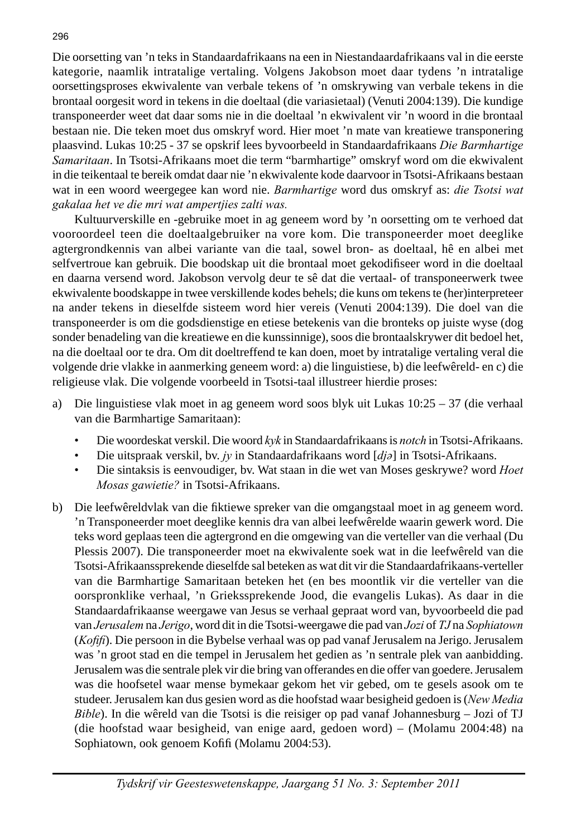Die oorsetting van 'n teks in Standaardafrikaans na een in Niestandaardafrikaans val in die eerste kategorie, naamlik intratalige vertaling. Volgens Jakobson moet daar tydens 'n intratalige oorsettingsproses ekwivalente van verbale tekens of 'n omskrywing van verbale tekens in die brontaal oorgesit word in tekens in die doeltaal (die variasietaal) (Venuti 2004:139). Die kundige transponeerder weet dat daar soms nie in die doeltaal 'n ekwivalent vir 'n woord in die brontaal bestaan nie. Die teken moet dus omskryf word. Hier moet 'n mate van kreatiewe transponering plaasvind. Lukas 10:25 - 37 se opskrif lees byvoorbeeld in Standaardafrikaans *Die Barmhartige Samaritaan*. In Tsotsi-Afrikaans moet die term "barmhartige" omskryf word om die ekwivalent in die teikentaal te bereik omdat daar nie 'n ekwivalente kode daarvoor in Tsotsi-Afrikaans bestaan wat in een woord weergegee kan word nie. *Barmhartige* word dus omskryf as: *die Tsotsi wat gakalaa het ve die mri wat ampertjies zalti was.*

 Kultuurverskille en -gebruike moet in ag geneem word by 'n oorsetting om te verhoed dat vooroordeel teen die doeltaalgebruiker na vore kom. Die transponeerder moet deeglike agtergrondkennis van albei variante van die taal, sowel bron- as doeltaal, hê en albei met selfvertroue kan gebruik. Die boodskap uit die brontaal moet gekodifiseer word in die doeltaal en daarna versend word. Jakobson vervolg deur te sê dat die vertaal- of transponeerwerk twee ekwivalente boodskappe in twee verskillende kodes behels; die kuns om tekens te (her)interpreteer na ander tekens in dieselfde sisteem word hier vereis (Venuti 2004:139). Die doel van die transponeerder is om die godsdienstige en etiese betekenis van die bronteks op juiste wyse (dog sonder benadeling van die kreatiewe en die kunssinnige), soos die brontaalskrywer dit bedoel het, na die doeltaal oor te dra. Om dit doeltreffend te kan doen, moet by intratalige vertaling veral die volgende drie vlakke in aanmerking geneem word: a) die linguistiese, b) die leefwêreld- en c) die religieuse vlak. Die volgende voorbeeld in Tsotsi-taal illustreer hierdie proses:

- a) Die linguistiese vlak moet in ag geneem word soos blyk uit Lukas  $10:25 37$  (die verhaal van die Barmhartige Samaritaan):
	- Die woordeskat verskil. Die woord *kyk* in Standaardafrikaans is *notch* in Tsotsi-Afrikaans.
	- Die uitspraak verskil, bv. *jy* in Standaardafrikaans word [*djə*] in Tsotsi-Afrikaans.
	- Die sintaksis is eenvoudiger, bv. Wat staan in die wet van Moses geskrywe? word *Hoet Mosas gawietie?* in Tsotsi-Afrikaans.
- b) Die leefwêreldvlak van die fiktiewe spreker van die omgangstaal moet in ag geneem word. 'n Transponeerder moet deeglike kennis dra van albei leefwêrelde waarin gewerk word. Die teks word geplaas teen die agtergrond en die omgewing van die verteller van die verhaal (Du Plessis 2007). Die transponeerder moet na ekwivalente soek wat in die leefwêreld van die Tsotsi-Afrikaanssprekende dieselfde sal beteken as wat dit vir die Standaardafrikaans-verteller van die Barmhartige Samaritaan beteken het (en bes moontlik vir die verteller van die oorspronklike verhaal, 'n Griekssprekende Jood, die evangelis Lukas). As daar in die Standaardafrikaanse weergawe van Jesus se verhaal gepraat word van, byvoorbeeld die pad van *Jerusalem* na *Jerigo*, word dit in die Tsotsi-weergawe die pad van *Jozi* of *TJ* na *Sophiatown* (*Kofifi*). Die persoon in die Bybelse verhaal was op pad vanaf Jerusalem na Jerigo. Jerusalem was 'n groot stad en die tempel in Jerusalem het gedien as 'n sentrale plek van aanbidding. Jerusalem was die sentrale plek vir die bring van offerandes en die offer van goedere. Jerusalem was die hoofsetel waar mense bymekaar gekom het vir gebed, om te gesels asook om te studeer. Jerusalem kan dus gesien word as die hoofstad waar besigheid gedoen is (*New Media Bible*). In die wêreld van die Tsotsi is die reisiger op pad vanaf Johannesburg – Jozi of TJ (die hoofstad waar besigheid, van enige aard, gedoen word) – (Molamu 2004:48) na Sophiatown, ook genoem Kofifi (Molamu 2004:53).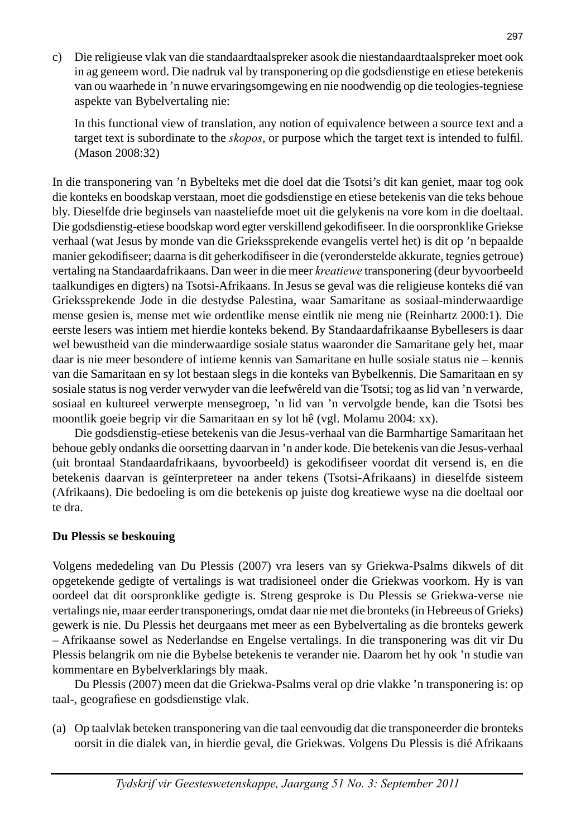c) Die religieuse vlak van die standaardtaalspreker asook die niestandaardtaalspreker moet ook in ag geneem word. Die nadruk val by transponering op die godsdienstige en etiese betekenis van ou waarhede in 'n nuwe ervaringsomgewing en nie noodwendig op die teologies-tegniese aspekte van Bybelvertaling nie:

 In this functional view of translation, any notion of equivalence between a source text and a target text is subordinate to the *skopos*, or purpose which the target text is intended to fulfil. (Mason 2008:32)

In die transponering van 'n Bybelteks met die doel dat die Tsotsi's dit kan geniet, maar tog ook die konteks en boodskap verstaan, moet die godsdienstige en etiese betekenis van die teks behoue bly. Dieselfde drie beginsels van naasteliefde moet uit die gelykenis na vore kom in die doeltaal. Die godsdienstig-etiese boodskap word egter verskillend gekodifi seer. In die oorspronklike Griekse verhaal (wat Jesus by monde van die Griekssprekende evangelis vertel het) is dit op 'n bepaalde manier gekodifiseer; daarna is dit geherkodifiseer in die (veronderstelde akkurate, tegnies getroue) vertaling na Standaardafrikaans. Dan weer in die meer *kreatiewe* transponering (deur byvoorbeeld taalkundiges en digters) na Tsotsi-Afrikaans. In Jesus se geval was die religieuse konteks dié van Griekssprekende Jode in die destydse Palestina, waar Samaritane as sosiaal-minderwaardige mense gesien is, mense met wie ordentlike mense eintlik nie meng nie (Reinhartz 2000:1). Die eerste lesers was intiem met hierdie konteks bekend. By Standaardafrikaanse Bybellesers is daar wel bewustheid van die minderwaardige sosiale status waaronder die Samaritane gely het, maar daar is nie meer besondere of intieme kennis van Samaritane en hulle sosiale status nie – kennis van die Samaritaan en sy lot bestaan slegs in die konteks van Bybelkennis. Die Samaritaan en sy sosiale status is nog verder verwyder van die leefwêreld van die Tsotsi; tog as lid van 'n verwarde, sosiaal en kultureel verwerpte mensegroep, 'n lid van 'n vervolgde bende, kan die Tsotsi bes moontlik goeie begrip vir die Samaritaan en sy lot hê (vgl. Molamu 2004: xx).

 Die godsdienstig-etiese betekenis van die Jesus-verhaal van die Barmhartige Samaritaan het behoue gebly ondanks die oorsetting daarvan in 'n ander kode. Die betekenis van die Jesus-verhaal (uit brontaal Standaardafrikaans, byvoorbeeld) is gekodifiseer voordat dit versend is, en die betekenis daarvan is geïnterpreteer na ander tekens (Tsotsi-Afrikaans) in dieselfde sisteem (Afrikaans). Die bedoeling is om die betekenis op juiste dog kreatiewe wyse na die doeltaal oor te dra.

## **Du Plessis se beskouing**

Volgens mededeling van Du Plessis (2007) vra lesers van sy Griekwa-Psalms dikwels of dit opgetekende gedigte of vertalings is wat tradisioneel onder die Griekwas voorkom. Hy is van oordeel dat dit oorspronklike gedigte is. Streng gesproke is Du Plessis se Griekwa-verse nie vertalings nie, maar eerder transponerings, omdat daar nie met die bronteks (in Hebreeus of Grieks) gewerk is nie. Du Plessis het deurgaans met meer as een Bybelvertaling as die bronteks gewerk – Afrikaanse sowel as Nederlandse en Engelse vertalings. In die transponering was dit vir Du Plessis belangrik om nie die Bybelse betekenis te verander nie. Daarom het hy ook 'n studie van kommentare en Bybelverklarings bly maak.

 Du Plessis (2007) meen dat die Griekwa-Psalms veral op drie vlakke 'n transponering is: op taal-, geografiese en godsdienstige vlak.

(a) Op taalvlak beteken transponering van die taal eenvoudig dat die transponeerder die bronteks oorsit in die dialek van, in hierdie geval, die Griekwas. Volgens Du Plessis is dié Afrikaans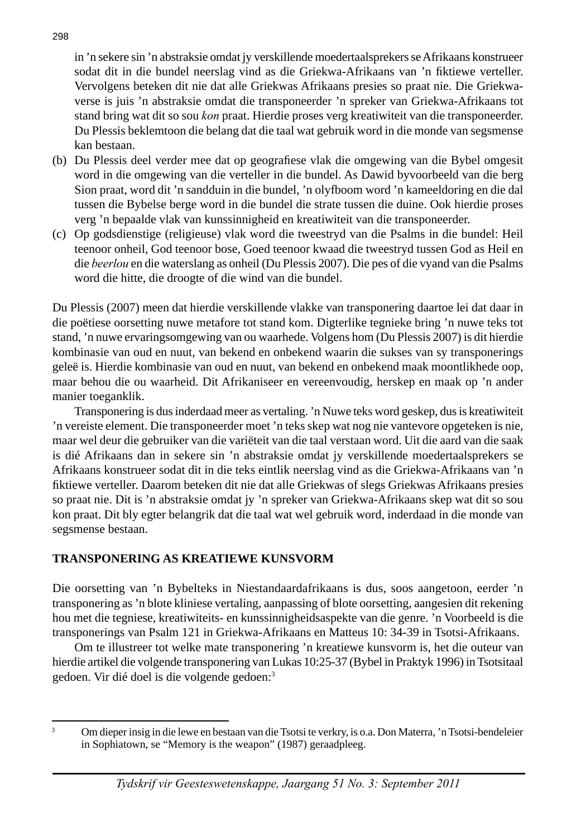in 'n sekere sin 'n abstraksie omdat jy verskillende moedertaalsprekers se Afrikaans konstrueer sodat dit in die bundel neerslag vind as die Griekwa-Afrikaans van 'n fiktiewe verteller. Vervolgens beteken dit nie dat alle Griekwas Afrikaans presies so praat nie. Die Griekwaverse is juis 'n abstraksie omdat die transponeerder 'n spreker van Griekwa-Afrikaans tot stand bring wat dit so sou *kon* praat. Hierdie proses verg kreatiwiteit van die transponeerder. Du Plessis beklemtoon die belang dat die taal wat gebruik word in die monde van segsmense kan bestaan.

- (b) Du Plessis deel verder mee dat op geografiese vlak die omgewing van die Bybel omgesit word in die omgewing van die verteller in die bundel. As Dawid byvoorbeeld van die berg Sion praat, word dit 'n sandduin in die bundel, 'n olyfboom word 'n kameeldoring en die dal tussen die Bybelse berge word in die bundel die strate tussen die duine. Ook hierdie proses verg 'n bepaalde vlak van kunssinnigheid en kreatiwiteit van die transponeerder.
- (c) Op godsdienstige (religieuse) vlak word die tweestryd van die Psalms in die bundel: Heil teenoor onheil, God teenoor bose, Goed teenoor kwaad die tweestryd tussen God as Heil en die *beerlou* en die waterslang as onheil (Du Plessis 2007). Die pes of die vyand van die Psalms word die hitte, die droogte of die wind van die bundel.

Du Plessis (2007) meen dat hierdie verskillende vlakke van transponering daartoe lei dat daar in die poëtiese oorsetting nuwe metafore tot stand kom. Digterlike tegnieke bring 'n nuwe teks tot stand, 'n nuwe ervaringsomgewing van ou waarhede. Volgens hom (Du Plessis 2007) is dit hierdie kombinasie van oud en nuut, van bekend en onbekend waarin die sukses van sy transponerings geleë is. Hierdie kombinasie van oud en nuut, van bekend en onbekend maak moontlikhede oop, maar behou die ou waarheid. Dit Afrikaniseer en vereenvoudig, herskep en maak op 'n ander manier toeganklik.

 Transponering is dus inderdaad meer as vertaling. 'n Nuwe teks word geskep, dus is kreatiwiteit 'n vereiste element. Die transponeerder moet 'n teks skep wat nog nie vantevore opgeteken is nie, maar wel deur die gebruiker van die variëteit van die taal verstaan word. Uit die aard van die saak is dié Afrikaans dan in sekere sin 'n abstraksie omdat jy verskillende moedertaalsprekers se Afrikaans konstrueer sodat dit in die teks eintlik neerslag vind as die Griekwa-Afrikaans van 'n fi ktiewe verteller. Daarom beteken dit nie dat alle Griekwas of slegs Griekwas Afrikaans presies so praat nie. Dit is 'n abstraksie omdat jy 'n spreker van Griekwa-Afrikaans skep wat dit so sou kon praat. Dit bly egter belangrik dat die taal wat wel gebruik word, inderdaad in die monde van segsmense bestaan.

# **TRANSPONERING AS KREATIEWE KUNSVORM**

Die oorsetting van 'n Bybelteks in Niestandaardafrikaans is dus, soos aangetoon, eerder 'n transponering as 'n blote kliniese vertaling, aanpassing of blote oorsetting, aangesien dit rekening hou met die tegniese, kreatiwiteits- en kunssinnigheidsaspekte van die genre. 'n Voorbeeld is die transponerings van Psalm 121 in Griekwa-Afrikaans en Matteus 10: 34-39 in Tsotsi-Afrikaans.

 Om te illustreer tot welke mate transponering 'n kreatiewe kunsvorm is, het die outeur van hierdie artikel die volgende transponering van Lukas 10:25-37 (Bybel in Praktyk 1996) in Tsotsitaal gedoen. Vir dié doel is die volgende gedoen:3

3

Om dieper insig in die lewe en bestaan van die Tsotsi te verkry, is o.a. Don Materra, 'n Tsotsi-bendeleier in Sophiatown, se "Memory is the weapon" (1987) geraadpleeg.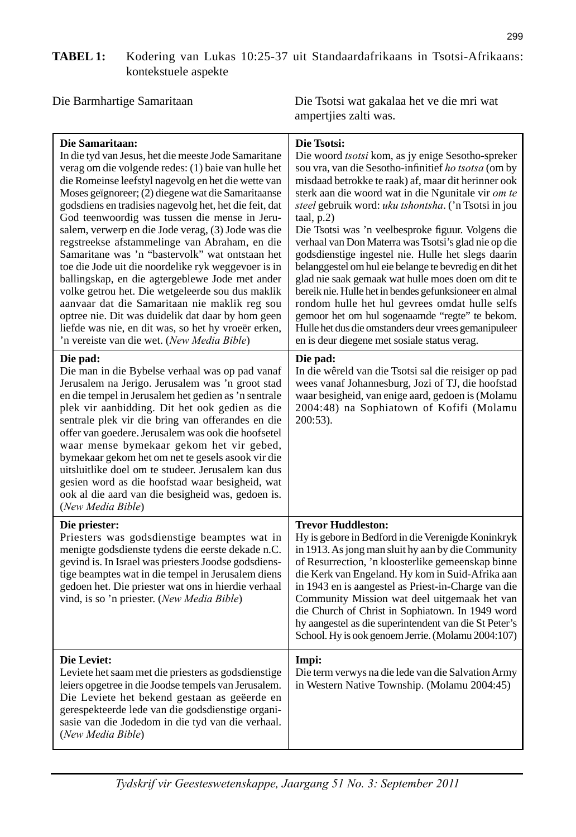# **TABEL 1:** Kodering van Lukas 10:25-37 uit Standaardafrikaans in Tsotsi-Afrikaans: kontekstuele aspekte

Die Barmhartige Samaritaan Die Tsotsi wat gakalaa het ve die mri wat ampertjies zalti was.

| Die Samaritaan:<br>In die tyd van Jesus, het die meeste Jode Samaritane<br>verag om die volgende redes: (1) baie van hulle het<br>die Romeinse leefstyl nagevolg en het die wette van<br>Moses geïgnoreer; (2) diegene wat die Samaritaanse<br>godsdiens en tradisies nagevolg het, het die feit, dat<br>God teenwoordig was tussen die mense in Jeru-<br>salem, verwerp en die Jode verag, (3) Jode was die<br>regstreekse afstammelinge van Abraham, en die<br>Samaritane was 'n "bastervolk" wat ontstaan het<br>toe die Jode uit die noordelike ryk weggevoer is in<br>ballingskap, en die agtergeblewe Jode met ander<br>volke getrou het. Die wetgeleerde sou dus maklik<br>aanvaar dat die Samaritaan nie maklik reg sou<br>optree nie. Dit was duidelik dat daar by hom geen<br>liefde was nie, en dit was, so het hy vroeër erken, | Die Tsotsi:<br>Die woord tsotsi kom, as jy enige Sesotho-spreker<br>sou vra, van die Sesotho-infinitief ho tsotsa (om by<br>misdaad betrokke te raak) af, maar dit herinner ook<br>sterk aan die woord wat in die Ngunitale vir om te<br>steel gebruik word: uku tshontsha. ('n Tsotsi in jou<br>taal, p.2)<br>Die Tsotsi was 'n veelbesproke figuur. Volgens die<br>verhaal van Don Materra was Tsotsi's glad nie op die<br>godsdienstige ingestel nie. Hulle het slegs daarin<br>belanggestel om hul eie belange te bevredig en dit het<br>glad nie saak gemaak wat hulle moes doen om dit te<br>bereik nie. Hulle het in bendes gefunksioneer en almal<br>rondom hulle het hul gevrees omdat hulle selfs<br>gemoor het om hul sogenaamde "regte" te bekom.<br>Hulle het dus die omstanders deur vrees gemanipuleer |
|---------------------------------------------------------------------------------------------------------------------------------------------------------------------------------------------------------------------------------------------------------------------------------------------------------------------------------------------------------------------------------------------------------------------------------------------------------------------------------------------------------------------------------------------------------------------------------------------------------------------------------------------------------------------------------------------------------------------------------------------------------------------------------------------------------------------------------------------|-----------------------------------------------------------------------------------------------------------------------------------------------------------------------------------------------------------------------------------------------------------------------------------------------------------------------------------------------------------------------------------------------------------------------------------------------------------------------------------------------------------------------------------------------------------------------------------------------------------------------------------------------------------------------------------------------------------------------------------------------------------------------------------------------------------------------|
| 'n vereiste van die wet. (New Media Bible)<br>Die pad:<br>Die man in die Bybelse verhaal was op pad vanaf<br>Jerusalem na Jerigo. Jerusalem was 'n groot stad<br>en die tempel in Jerusalem het gedien as 'n sentrale<br>plek vir aanbidding. Dit het ook gedien as die                                                                                                                                                                                                                                                                                                                                                                                                                                                                                                                                                                     | en is deur diegene met sosiale status verag.<br>Die pad:<br>In die wêreld van die Tsotsi sal die reisiger op pad<br>wees vanaf Johannesburg, Jozi of TJ, die hoofstad<br>waar besigheid, van enige aard, gedoen is (Molamu<br>2004:48) na Sophiatown of Kofifi (Molamu                                                                                                                                                                                                                                                                                                                                                                                                                                                                                                                                                |
| sentrale plek vir die bring van offerandes en die<br>offer van goedere. Jerusalem was ook die hoofsetel<br>waar mense bymekaar gekom het vir gebed,<br>bymekaar gekom het om net te gesels asook vir die<br>uitsluitlike doel om te studeer. Jerusalem kan dus<br>gesien word as die hoofstad waar besigheid, wat<br>ook al die aard van die besigheid was, gedoen is.<br>(New Media Bible)                                                                                                                                                                                                                                                                                                                                                                                                                                                 | $200:53$ ).                                                                                                                                                                                                                                                                                                                                                                                                                                                                                                                                                                                                                                                                                                                                                                                                           |
| Die priester:<br>Priesters was godsdienstige beamptes wat in<br>menigte godsdienste tydens die eerste dekade n.C.<br>gevind is. In Israel was priesters Joodse godsdiens-<br>tige beamptes wat in die tempel in Jerusalem diens<br>gedoen het. Die priester wat ons in hierdie verhaal<br>vind, is so 'n priester. (New Media Bible)                                                                                                                                                                                                                                                                                                                                                                                                                                                                                                        | <b>Trevor Huddleston:</b><br>Hy is gebore in Bedford in die Verenigde Koninkryk<br>in 1913. As jong man sluit hy aan by die Community<br>of Resurrection, 'n kloosterlike gemeenskap binne<br>die Kerk van Engeland. Hy kom in Suid-Afrika aan<br>in 1943 en is aangestel as Priest-in-Charge van die<br>Community Mission wat deel uitgemaak het van<br>die Church of Christ in Sophiatown. In 1949 word<br>hy aangestel as die superintendent van die St Peter's<br>School. Hy is ook genoem Jerrie. (Molamu 2004:107)                                                                                                                                                                                                                                                                                              |
| Die Leviet:<br>Leviete het saam met die priesters as godsdienstige<br>leiers opgetree in die Joodse tempels van Jerusalem.<br>Die Leviete het bekend gestaan as geëerde en<br>gerespekteerde lede van die godsdienstige organi-<br>sasie van die Jodedom in die tyd van die verhaal.<br>(New Media Bible)                                                                                                                                                                                                                                                                                                                                                                                                                                                                                                                                   | Impi:<br>Die term verwys na die lede van die Salvation Army<br>in Western Native Township. (Molamu 2004:45)                                                                                                                                                                                                                                                                                                                                                                                                                                                                                                                                                                                                                                                                                                           |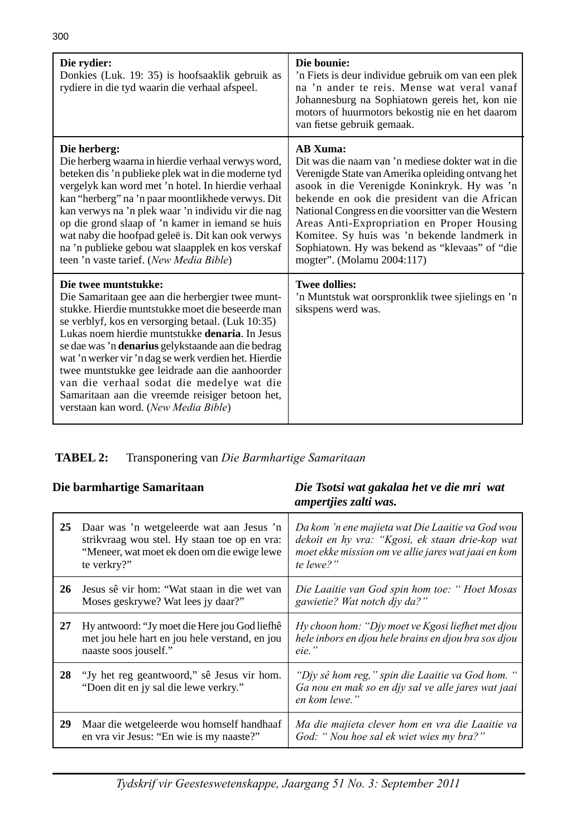| Die rydier:<br>Donkies (Luk. 19: 35) is hoofsaaklik gebruik as<br>rydiere in die tyd waarin die verhaal afspeel.                                                                                                                                                                                                                                                                                                                                                                                                                                       | Die bounie:<br>'n Fiets is deur individue gebruik om van een plek<br>na 'n ander te reis. Mense wat veral vanaf<br>Johannesburg na Sophiatown gereis het, kon nie<br>motors of huurmotors bekostig nie en het daarom<br>van fietse gebruik gemaak.                                                                                                                                                                                                           |
|--------------------------------------------------------------------------------------------------------------------------------------------------------------------------------------------------------------------------------------------------------------------------------------------------------------------------------------------------------------------------------------------------------------------------------------------------------------------------------------------------------------------------------------------------------|--------------------------------------------------------------------------------------------------------------------------------------------------------------------------------------------------------------------------------------------------------------------------------------------------------------------------------------------------------------------------------------------------------------------------------------------------------------|
| Die herberg:<br>Die herberg waarna in hierdie verhaal verwys word,<br>beteken dis 'n publieke plek wat in die moderne tyd<br>vergelyk kan word met 'n hotel. In hierdie verhaal<br>kan "herberg" na 'n paar moontlikhede verwys. Dit<br>kan verwys na 'n plek waar 'n individu vir die nag<br>op die grond slaap of 'n kamer in iemand se huis<br>wat naby die hoofpad geleë is. Dit kan ook verwys<br>na 'n publieke gebou wat slaapplek en kos verskaf<br>teen 'n vaste tarief. (New Media Bible)                                                    | <b>AB Xuma:</b><br>Dit was die naam van 'n mediese dokter wat in die<br>Verenigde State van Amerika opleiding ontvang het<br>asook in die Verenigde Koninkryk. Hy was 'n<br>bekende en ook die president van die African<br>National Congress en die voorsitter van die Western<br>Areas Anti-Expropriation en Proper Housing<br>Komitee. Sy huis was 'n bekende landmerk in<br>Sophiatown. Hy was bekend as "klevaas" of "die<br>mogter". (Molamu 2004:117) |
| Die twee muntstukke:<br>Die Samaritaan gee aan die herbergier twee munt-<br>stukke. Hierdie muntstukke moet die beseerde man<br>se verblyf, kos en versorging betaal. (Luk 10:35)<br>Lukas noem hierdie muntstukke <b>denaria</b> . In Jesus<br>se dae was 'n denarius gelykstaande aan die bedrag<br>wat 'n werker vir 'n dag se werk verdien het. Hierdie<br>twee muntstukke gee leidrade aan die aanhoorder<br>van die verhaal sodat die medelye wat die<br>Samaritaan aan die vreemde reisiger betoon het,<br>verstaan kan word. (New Media Bible) | <b>Twee dollies:</b><br>'n Muntstuk wat oorspronklik twee sjielings en 'n<br>sikspens werd was.                                                                                                                                                                                                                                                                                                                                                              |

 **TABEL 2:** Transponering van *Die Barmhartige Samaritaan*

| Die barmhartige Samaritaan |                                                                                                                                                        | Die Tsotsi wat gakalaa het ve die mri wat<br>ampertjies zalti was.                                                                                                      |
|----------------------------|--------------------------------------------------------------------------------------------------------------------------------------------------------|-------------------------------------------------------------------------------------------------------------------------------------------------------------------------|
| 25                         | Daar was 'n wetgeleerde wat aan Jesus 'n<br>strikvraag wou stel. Hy staan toe op en vra:<br>"Meneer, wat moet ek doen om die ewige lewe<br>te verkry?" | Da kom 'n ene majieta wat Die Laaitie va God wou<br>dekoit en hy vra: "Kgosi, ek staan drie-kop wat<br>moet ekke mission om ve allie jares wat jaai en kom<br>te lewe?" |
| 26                         | Jesus sê vir hom: "Wat staan in die wet van<br>Moses geskrywe? Wat lees jy daar?"                                                                      | Die Laaitie van God spin hom toe: "Hoet Mosas<br>gawietie? Wat notch div da?"                                                                                           |
| 27                         | Hy antwoord: "Jy moet die Here jou God liefhê<br>met jou hele hart en jou hele verstand, en jou<br>naaste soos jouself."                               | Hy choon hom: "Djy moet ve Kgosi liefhet met djou<br>hele inbors en djou hele brains en djou bra sos djou<br>eie."                                                      |
| 28                         | "Jy het reg geantwoord," sê Jesus vir hom.<br>"Doen dit en jy sal die lewe verkry."                                                                    | "Div sê hom reg," spin die Laaitie va God hom. "<br>Ga nou en mak so en djy sal ve alle jares wat jaai<br>en kom lewe."                                                 |
| 29                         | Maar die wetgeleerde wou homself handhaaf<br>en vra vir Jesus: "En wie is my naaste?"                                                                  | Ma die majieta clever hom en vra die Laaitie va<br>God: "Nou hoe sal ek wiet wies my bra?"                                                                              |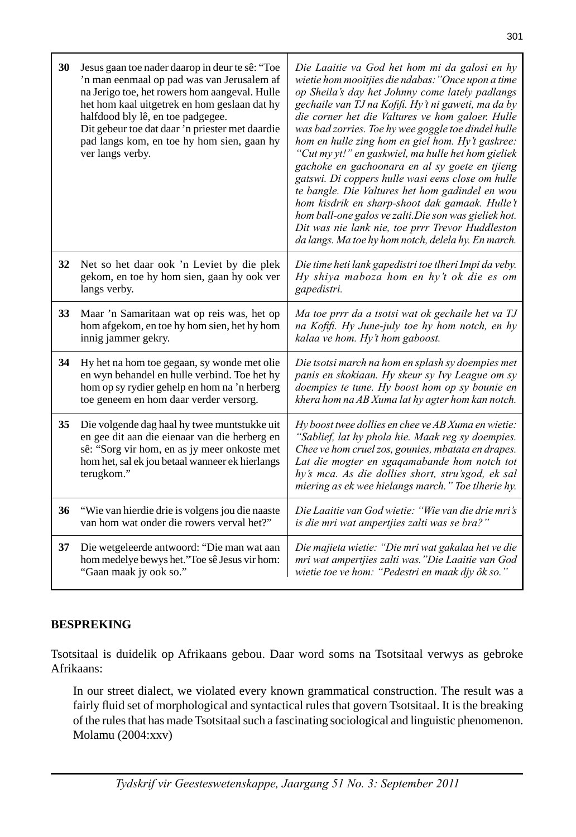| 30 | Jesus gaan toe nader daarop in deur te sê: "Toe<br>'n man eenmaal op pad was van Jerusalem af<br>na Jerigo toe, het rowers hom aangeval. Hulle<br>het hom kaal uitgetrek en hom geslaan dat hy<br>halfdood bly lê, en toe padgegee.<br>Dit gebeur toe dat daar 'n priester met daardie<br>pad langs kom, en toe hy hom sien, gaan hy<br>ver langs verby. | Die Laaitie va God het hom mi da galosi en hy<br>wietie hom mooitjies die ndabas: "Once upon a time<br>op Sheila's day het Johnny come lately padlangs<br>gechaile van TJ na Kofifi. Hy't ni gaweti, ma da by<br>die corner het die Valtures ve hom galoer. Hulle<br>was bad zorries. Toe hy wee goggle toe dindel hulle<br>hom en hulle zing hom en giel hom. Hy't gaskree:<br>"Cut my yt!" en gaskwiel, ma hulle het hom gieliek<br>gachoke en gachoonara en al sy goete en tjieng<br>gatswi. Di coppers hulle wasi eens close om hulle<br>te bangle. Die Valtures het hom gadindel en wou<br>hom kisdrik en sharp-shoot dak gamaak. Hulle't<br>hom ball-one galos ve zalti.Die son was gieliek hot.<br>Dit was nie lank nie, toe prrr Trevor Huddleston<br>da langs. Ma toe hy hom notch, delela hy. En march. |
|----|----------------------------------------------------------------------------------------------------------------------------------------------------------------------------------------------------------------------------------------------------------------------------------------------------------------------------------------------------------|-------------------------------------------------------------------------------------------------------------------------------------------------------------------------------------------------------------------------------------------------------------------------------------------------------------------------------------------------------------------------------------------------------------------------------------------------------------------------------------------------------------------------------------------------------------------------------------------------------------------------------------------------------------------------------------------------------------------------------------------------------------------------------------------------------------------|
| 32 | Net so het daar ook 'n Leviet by die plek<br>gekom, en toe hy hom sien, gaan hy ook ver<br>langs verby.                                                                                                                                                                                                                                                  | Die time heti lank gapedistri toe tlheri Impi da veby.<br>Hy shiya maboza hom en hy't ok die es om<br>gapedistri.                                                                                                                                                                                                                                                                                                                                                                                                                                                                                                                                                                                                                                                                                                 |
| 33 | Maar 'n Samaritaan wat op reis was, het op<br>hom afgekom, en toe hy hom sien, het hy hom<br>innig jammer gekry.                                                                                                                                                                                                                                         | Ma toe prrr da a tsotsi wat ok gechaile het va TJ<br>na Kofifi. Hy June-july toe hy hom notch, en hy<br>kalaa ve hom. Hy't hom gaboost.                                                                                                                                                                                                                                                                                                                                                                                                                                                                                                                                                                                                                                                                           |
| 34 | Hy het na hom toe gegaan, sy wonde met olie<br>en wyn behandel en hulle verbind. Toe het hy<br>hom op sy rydier gehelp en hom na 'n herberg<br>toe geneem en hom daar verder versorg.                                                                                                                                                                    | Die tsotsi march na hom en splash sy doempies met<br>panis en skokiaan. Hy skeur sy Ivy League om sy<br>doempies te tune. Hy boost hom op sy bounie en<br>khera hom na AB Xuma lat hy agter hom kan notch.                                                                                                                                                                                                                                                                                                                                                                                                                                                                                                                                                                                                        |
| 35 | Die volgende dag haal hy twee muntstukke uit<br>en gee dit aan die eienaar van die herberg en<br>sê: "Sorg vir hom, en as jy meer onkoste met<br>hom het, sal ek jou betaal wanneer ek hierlangs<br>terugkom."                                                                                                                                           | Hy boost twee dollies en chee ve AB Xuma en wietie:<br>"Sablief, lat hy phola hie. Maak reg sy doempies.<br>Chee ve hom cruel zos, gounies, mbatata en drapes.<br>Lat die mogter en sgaqamabande hom notch tot<br>hy's mca. As die dollies short, stru'sgod, ek sal<br>miering as ek wee hielangs march." Toe tlherie hy.                                                                                                                                                                                                                                                                                                                                                                                                                                                                                         |
| 36 | "Wie van hierdie drie is volgens jou die naaste<br>van hom wat onder die rowers verval het?"                                                                                                                                                                                                                                                             | Die Laaitie van God wietie: "Wie van die drie mri's<br>is die mri wat ampertjies zalti was se bra?"                                                                                                                                                                                                                                                                                                                                                                                                                                                                                                                                                                                                                                                                                                               |
| 37 | Die wetgeleerde antwoord: "Die man wat aan<br>hom medelye bewys het."Toe sê Jesus vir hom:<br>"Gaan maak jy ook so."                                                                                                                                                                                                                                     | Die majieta wietie: "Die mri wat gakalaa het ve die<br>mri wat ampertjies zalti was. "Die Laaitie van God<br>wietie toe ve hom: "Pedestri en maak djy ôk so."                                                                                                                                                                                                                                                                                                                                                                                                                                                                                                                                                                                                                                                     |

## **BESPREKING**

Tsotsitaal is duidelik op Afrikaans gebou. Daar word soms na Tsotsitaal verwys as gebroke Afrikaans:

 In our street dialect, we violated every known grammatical construction. The result was a fairly fluid set of morphological and syntactical rules that govern Tsotsitaal. It is the breaking of the rules that has made Tsotsitaal such a fascinating sociological and linguistic phenomenon. Molamu (2004:xxv)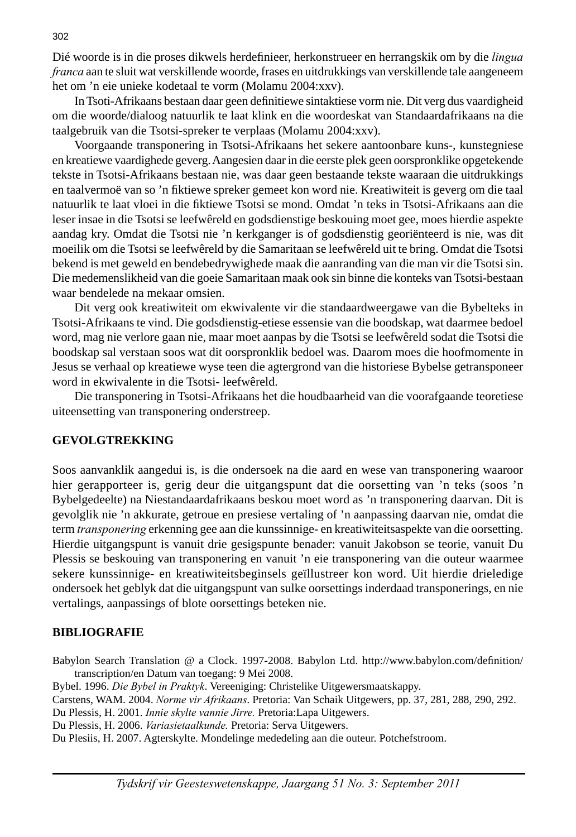Dié woorde is in die proses dikwels herdefi nieer, herkonstrueer en herrangskik om by die *lingua franca* aan te sluit wat verskillende woorde, frases en uitdrukkings van verskillende tale aangeneem het om 'n eie unieke kodetaal te vorm (Molamu 2004:xxv).

In Tsoti-Afrikaans bestaan daar geen definitiewe sintaktiese vorm nie. Dit verg dus vaardigheid om die woorde/dialoog natuurlik te laat klink en die woordeskat van Standaardafrikaans na die taalgebruik van die Tsotsi-spreker te verplaas (Molamu 2004:xxv).

 Voorgaande transponering in Tsotsi-Afrikaans het sekere aantoonbare kuns-, kunstegniese en kreatiewe vaardighede geverg. Aangesien daar in die eerste plek geen oorspronklike opgetekende tekste in Tsotsi-Afrikaans bestaan nie, was daar geen bestaande tekste waaraan die uitdrukkings en taalvermoë van so 'n fiktiewe spreker gemeet kon word nie. Kreatiwiteit is geverg om die taal natuurlik te laat vloei in die fiktiewe Tsotsi se mond. Omdat 'n teks in Tsotsi-Afrikaans aan die leser insae in die Tsotsi se leefwêreld en godsdienstige beskouing moet gee, moes hierdie aspekte aandag kry. Omdat die Tsotsi nie 'n kerkganger is of godsdienstig georiënteerd is nie, was dit moeilik om die Tsotsi se leefwêreld by die Samaritaan se leefwêreld uit te bring. Omdat die Tsotsi bekend is met geweld en bendebedrywighede maak die aanranding van die man vir die Tsotsi sin. Die medemenslikheid van die goeie Samaritaan maak ook sin binne die konteks van Tsotsi-bestaan waar bendelede na mekaar omsien.

 Dit verg ook kreatiwiteit om ekwivalente vir die standaardweergawe van die Bybelteks in Tsotsi-Afrikaans te vind. Die godsdienstig-etiese essensie van die boodskap, wat daarmee bedoel word, mag nie verlore gaan nie, maar moet aanpas by die Tsotsi se leefwêreld sodat die Tsotsi die boodskap sal verstaan soos wat dit oorspronklik bedoel was. Daarom moes die hoofmomente in Jesus se verhaal op kreatiewe wyse teen die agtergrond van die historiese Bybelse getransponeer word in ekwivalente in die Tsotsi- leefwêreld.

 Die transponering in Tsotsi-Afrikaans het die houdbaarheid van die voorafgaande teoretiese uiteensetting van transponering onderstreep.

#### **GEVOLGTREKKING**

Soos aanvanklik aangedui is, is die ondersoek na die aard en wese van transponering waaroor hier gerapporteer is, gerig deur die uitgangspunt dat die oorsetting van 'n teks (soos 'n Bybelgedeelte) na Niestandaardafrikaans beskou moet word as 'n transponering daarvan. Dit is gevolglik nie 'n akkurate, getroue en presiese vertaling of 'n aanpassing daarvan nie, omdat die term *transponering* erkenning gee aan die kunssinnige- en kreatiwiteitsaspekte van die oorsetting. Hierdie uitgangspunt is vanuit drie gesigspunte benader: vanuit Jakobson se teorie, vanuit Du Plessis se beskouing van transponering en vanuit 'n eie transponering van die outeur waarmee sekere kunssinnige- en kreatiwiteitsbeginsels geïllustreer kon word. Uit hierdie drieledige ondersoek het geblyk dat die uitgangspunt van sulke oorsettings inderdaad transponerings, en nie vertalings, aanpassings of blote oorsettings beteken nie.

#### **BIBLIOGRAFIE**

Babylon Search Translation @ a Clock. 1997-2008. Babylon Ltd. http://www.babylon.com/definition/ transcription/en Datum van toegang: 9 Mei 2008.

Bybel. 1996. *Die Bybel in Praktyk*. Vereeniging: Christelike Uitgewersmaatskappy.

Carstens, WAM. 2004. *Norme vir Afrikaans*. Pretoria: Van Schaik Uitgewers, pp. 37, 281, 288, 290, 292.

Du Plessis, H. 2001. *Innie skylte vannie Jirre.* Pretoria:Lapa Uitgewers.

Du Plessis, H. 2006. *Variasietaalkunde.* Pretoria: Serva Uitgewers.

Du Plesiis, H. 2007. Agterskylte. Mondelinge mededeling aan die outeur. Potchefstroom.